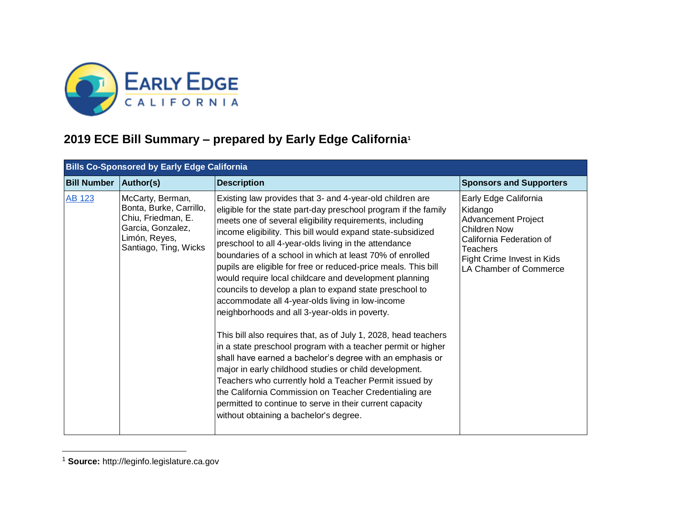

## **2019 ECE Bill Summary – prepared by Early Edge California<sup>1</sup>**

| <b>Bills Co-Sponsored by Early Edge California</b> |                                                                                                                                  |                                                                                                                                                                                                                                                                                                                                                                                                                                                                                                                                                                                                                                                                                                                                                                                                                                                                                                                                                                                                                                                                                                                                                              |                                                                                                                                                                                       |  |
|----------------------------------------------------|----------------------------------------------------------------------------------------------------------------------------------|--------------------------------------------------------------------------------------------------------------------------------------------------------------------------------------------------------------------------------------------------------------------------------------------------------------------------------------------------------------------------------------------------------------------------------------------------------------------------------------------------------------------------------------------------------------------------------------------------------------------------------------------------------------------------------------------------------------------------------------------------------------------------------------------------------------------------------------------------------------------------------------------------------------------------------------------------------------------------------------------------------------------------------------------------------------------------------------------------------------------------------------------------------------|---------------------------------------------------------------------------------------------------------------------------------------------------------------------------------------|--|
| <b>Bill Number   Author(s)</b>                     |                                                                                                                                  | <b>Description</b>                                                                                                                                                                                                                                                                                                                                                                                                                                                                                                                                                                                                                                                                                                                                                                                                                                                                                                                                                                                                                                                                                                                                           | <b>Sponsors and Supporters</b>                                                                                                                                                        |  |
| <b>AB 123</b>                                      | McCarty, Berman,<br>Bonta, Burke, Carrillo,<br>Chiu, Friedman, E.<br>Garcia, Gonzalez,<br>Limón, Reyes,<br>Santiago, Ting, Wicks | Existing law provides that 3- and 4-year-old children are<br>eligible for the state part-day preschool program if the family<br>meets one of several eligibility requirements, including<br>income eligibility. This bill would expand state-subsidized<br>preschool to all 4-year-olds living in the attendance<br>boundaries of a school in which at least 70% of enrolled<br>pupils are eligible for free or reduced-price meals. This bill<br>would require local childcare and development planning<br>councils to develop a plan to expand state preschool to<br>accommodate all 4-year-olds living in low-income<br>neighborhoods and all 3-year-olds in poverty.<br>This bill also requires that, as of July 1, 2028, head teachers<br>in a state preschool program with a teacher permit or higher<br>shall have earned a bachelor's degree with an emphasis or<br>major in early childhood studies or child development.<br>Teachers who currently hold a Teacher Permit issued by<br>the California Commission on Teacher Credentialing are<br>permitted to continue to serve in their current capacity<br>without obtaining a bachelor's degree. | Early Edge California<br>Kidango<br><b>Advancement Project</b><br><b>Children Now</b><br>California Federation of<br>Teachers<br>Fight Crime Invest in Kids<br>LA Chamber of Commerce |  |

<sup>1</sup> **Source:** http://leginfo.legislature.ca.gov

 $\overline{a}$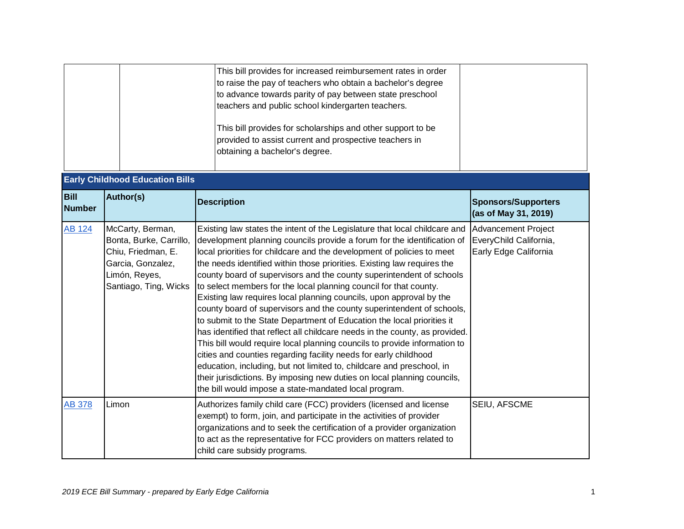|                              | <b>Early Childhood Education Bills</b>                                                                                           | This bill provides for increased reimbursement rates in order<br>to raise the pay of teachers who obtain a bachelor's degree<br>to advance towards parity of pay between state preschool<br>teachers and public school kindergarten teachers.<br>This bill provides for scholarships and other support to be<br>provided to assist current and prospective teachers in<br>obtaining a bachelor's degree.                                                                                                                                                                                                                                                                                                                                                                                                                                                                                                                                                                                                                                                                                                                       |                                                                               |
|------------------------------|----------------------------------------------------------------------------------------------------------------------------------|--------------------------------------------------------------------------------------------------------------------------------------------------------------------------------------------------------------------------------------------------------------------------------------------------------------------------------------------------------------------------------------------------------------------------------------------------------------------------------------------------------------------------------------------------------------------------------------------------------------------------------------------------------------------------------------------------------------------------------------------------------------------------------------------------------------------------------------------------------------------------------------------------------------------------------------------------------------------------------------------------------------------------------------------------------------------------------------------------------------------------------|-------------------------------------------------------------------------------|
| <b>Bill</b><br><b>Number</b> | <b>Author(s)</b>                                                                                                                 | <b>Description</b>                                                                                                                                                                                                                                                                                                                                                                                                                                                                                                                                                                                                                                                                                                                                                                                                                                                                                                                                                                                                                                                                                                             | <b>Sponsors/Supporters</b><br>(as of May 31, 2019)                            |
| <b>AB 124</b>                | McCarty, Berman,<br>Bonta, Burke, Carrillo,<br>Chiu, Friedman, E.<br>Garcia, Gonzalez,<br>Limón, Reyes,<br>Santiago, Ting, Wicks | Existing law states the intent of the Legislature that local childcare and<br>development planning councils provide a forum for the identification of<br>local priorities for childcare and the development of policies to meet<br>the needs identified within those priorities. Existing law requires the<br>county board of supervisors and the county superintendent of schools<br>to select members for the local planning council for that county.<br>Existing law requires local planning councils, upon approval by the<br>county board of supervisors and the county superintendent of schools,<br>to submit to the State Department of Education the local priorities it<br>has identified that reflect all childcare needs in the county, as provided.<br>This bill would require local planning councils to provide information to<br>cities and counties regarding facility needs for early childhood<br>education, including, but not limited to, childcare and preschool, in<br>their jurisdictions. By imposing new duties on local planning councils,<br>the bill would impose a state-mandated local program. | <b>Advancement Project</b><br>EveryChild California,<br>Early Edge California |
| <b>AB 378</b>                | Limon                                                                                                                            | Authorizes family child care (FCC) providers (licensed and license<br>exempt) to form, join, and participate in the activities of provider<br>organizations and to seek the certification of a provider organization<br>to act as the representative for FCC providers on matters related to<br>child care subsidy programs.                                                                                                                                                                                                                                                                                                                                                                                                                                                                                                                                                                                                                                                                                                                                                                                                   | SEIU, AFSCME                                                                  |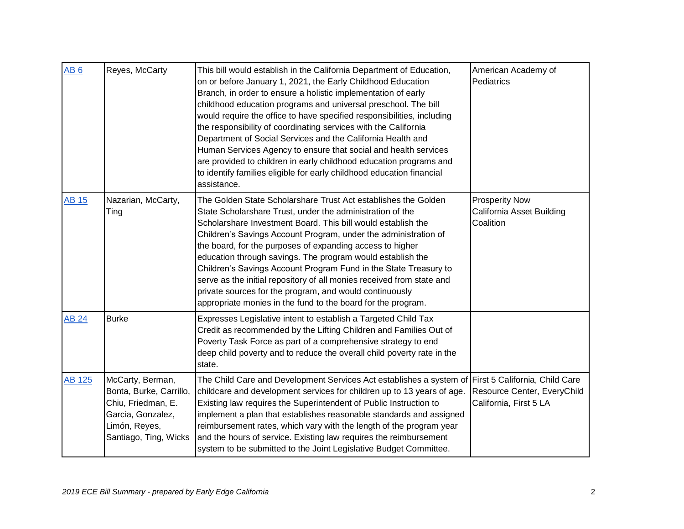| AB6           | Reyes, McCarty                                                                                                                   | This bill would establish in the California Department of Education,<br>on or before January 1, 2021, the Early Childhood Education<br>Branch, in order to ensure a holistic implementation of early<br>childhood education programs and universal preschool. The bill<br>would require the office to have specified responsibilities, including<br>the responsibility of coordinating services with the California<br>Department of Social Services and the California Health and<br>Human Services Agency to ensure that social and health services<br>are provided to children in early childhood education programs and<br>to identify families eligible for early childhood education financial<br>assistance. | American Academy of<br>Pediatrics                               |
|---------------|----------------------------------------------------------------------------------------------------------------------------------|---------------------------------------------------------------------------------------------------------------------------------------------------------------------------------------------------------------------------------------------------------------------------------------------------------------------------------------------------------------------------------------------------------------------------------------------------------------------------------------------------------------------------------------------------------------------------------------------------------------------------------------------------------------------------------------------------------------------|-----------------------------------------------------------------|
| <b>AB 15</b>  | Nazarian, McCarty,<br>Ting                                                                                                       | The Golden State Scholarshare Trust Act establishes the Golden<br>State Scholarshare Trust, under the administration of the<br>Scholarshare Investment Board. This bill would establish the<br>Children's Savings Account Program, under the administration of<br>the board, for the purposes of expanding access to higher<br>education through savings. The program would establish the<br>Children's Savings Account Program Fund in the State Treasury to<br>serve as the initial repository of all monies received from state and<br>private sources for the program, and would continuously<br>appropriate monies in the fund to the board for the program.                                                   | <b>Prosperity Now</b><br>California Asset Building<br>Coalition |
| <b>AB 24</b>  | <b>Burke</b>                                                                                                                     | Expresses Legislative intent to establish a Targeted Child Tax<br>Credit as recommended by the Lifting Children and Families Out of<br>Poverty Task Force as part of a comprehensive strategy to end<br>deep child poverty and to reduce the overall child poverty rate in the<br>state.                                                                                                                                                                                                                                                                                                                                                                                                                            |                                                                 |
| <b>AB 125</b> | McCarty, Berman,<br>Bonta, Burke, Carrillo,<br>Chiu, Friedman, E.<br>Garcia, Gonzalez,<br>Limón, Reyes,<br>Santiago, Ting, Wicks | The Child Care and Development Services Act establishes a system of First 5 California, Child Care<br>childcare and development services for children up to 13 years of age.<br>Existing law requires the Superintendent of Public Instruction to<br>implement a plan that establishes reasonable standards and assigned<br>reimbursement rates, which vary with the length of the program year<br>and the hours of service. Existing law requires the reimbursement<br>system to be submitted to the Joint Legislative Budget Committee.                                                                                                                                                                           | Resource Center, EveryChild<br>California, First 5 LA           |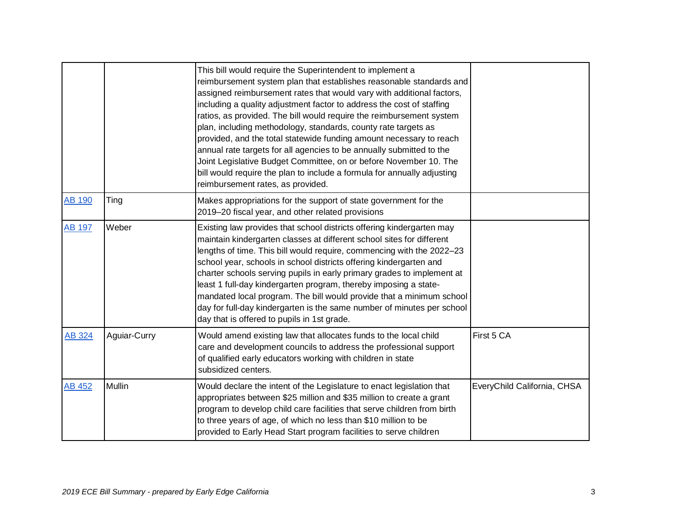|               |              | This bill would require the Superintendent to implement a<br>reimbursement system plan that establishes reasonable standards and<br>assigned reimbursement rates that would vary with additional factors,<br>including a quality adjustment factor to address the cost of staffing<br>ratios, as provided. The bill would require the reimbursement system<br>plan, including methodology, standards, county rate targets as<br>provided, and the total statewide funding amount necessary to reach<br>annual rate targets for all agencies to be annually submitted to the<br>Joint Legislative Budget Committee, on or before November 10. The<br>bill would require the plan to include a formula for annually adjusting<br>reimbursement rates, as provided. |                             |
|---------------|--------------|------------------------------------------------------------------------------------------------------------------------------------------------------------------------------------------------------------------------------------------------------------------------------------------------------------------------------------------------------------------------------------------------------------------------------------------------------------------------------------------------------------------------------------------------------------------------------------------------------------------------------------------------------------------------------------------------------------------------------------------------------------------|-----------------------------|
| <b>AB 190</b> | Ting         | Makes appropriations for the support of state government for the<br>2019-20 fiscal year, and other related provisions                                                                                                                                                                                                                                                                                                                                                                                                                                                                                                                                                                                                                                            |                             |
| <b>AB 197</b> | Weber        | Existing law provides that school districts offering kindergarten may<br>maintain kindergarten classes at different school sites for different<br>lengths of time. This bill would require, commencing with the 2022-23<br>school year, schools in school districts offering kindergarten and<br>charter schools serving pupils in early primary grades to implement at<br>least 1 full-day kindergarten program, thereby imposing a state-<br>mandated local program. The bill would provide that a minimum school<br>day for full-day kindergarten is the same number of minutes per school<br>day that is offered to pupils in 1st grade.                                                                                                                     |                             |
| AB 324        | Aguiar-Curry | Would amend existing law that allocates funds to the local child<br>care and development councils to address the professional support<br>of qualified early educators working with children in state<br>subsidized centers.                                                                                                                                                                                                                                                                                                                                                                                                                                                                                                                                      | First 5 CA                  |
| <b>AB 452</b> | Mullin       | Would declare the intent of the Legislature to enact legislation that<br>appropriates between \$25 million and \$35 million to create a grant<br>program to develop child care facilities that serve children from birth<br>to three years of age, of which no less than \$10 million to be<br>provided to Early Head Start program facilities to serve children                                                                                                                                                                                                                                                                                                                                                                                                 | EveryChild California, CHSA |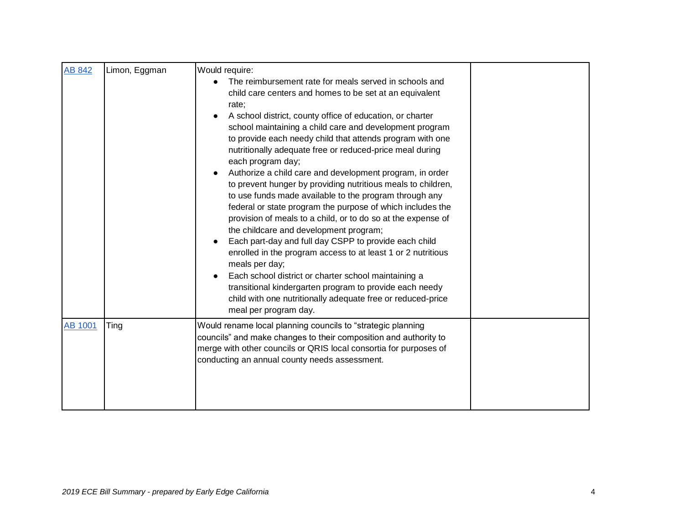| AB 842         | Limon, Eggman | Would require:<br>The reimbursement rate for meals served in schools and<br>child care centers and homes to be set at an equivalent<br>rate:<br>A school district, county office of education, or charter<br>school maintaining a child care and development program<br>to provide each needy child that attends program with one<br>nutritionally adequate free or reduced-price meal during<br>each program day;<br>Authorize a child care and development program, in order<br>to prevent hunger by providing nutritious meals to children,<br>to use funds made available to the program through any<br>federal or state program the purpose of which includes the<br>provision of meals to a child, or to do so at the expense of<br>the childcare and development program;<br>Each part-day and full day CSPP to provide each child<br>enrolled in the program access to at least 1 or 2 nutritious<br>meals per day;<br>Each school district or charter school maintaining a<br>transitional kindergarten program to provide each needy |  |
|----------------|---------------|------------------------------------------------------------------------------------------------------------------------------------------------------------------------------------------------------------------------------------------------------------------------------------------------------------------------------------------------------------------------------------------------------------------------------------------------------------------------------------------------------------------------------------------------------------------------------------------------------------------------------------------------------------------------------------------------------------------------------------------------------------------------------------------------------------------------------------------------------------------------------------------------------------------------------------------------------------------------------------------------------------------------------------------------|--|
|                |               | child with one nutritionally adequate free or reduced-price<br>meal per program day.                                                                                                                                                                                                                                                                                                                                                                                                                                                                                                                                                                                                                                                                                                                                                                                                                                                                                                                                                           |  |
| <b>AB 1001</b> | Ting          | Would rename local planning councils to "strategic planning<br>councils" and make changes to their composition and authority to<br>merge with other councils or QRIS local consortia for purposes of<br>conducting an annual county needs assessment.                                                                                                                                                                                                                                                                                                                                                                                                                                                                                                                                                                                                                                                                                                                                                                                          |  |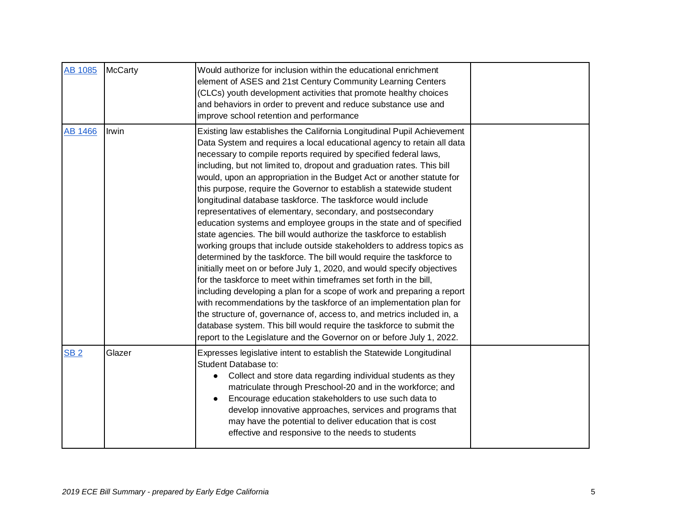| <b>AB 1085</b> | <b>McCarty</b> | Would authorize for inclusion within the educational enrichment<br>element of ASES and 21st Century Community Learning Centers<br>(CLCs) youth development activities that promote healthy choices<br>and behaviors in order to prevent and reduce substance use and<br>improve school retention and performance                                                                                                                                                                                                                                                                                                                                                                                                                                                                                                                                                                                                                                                                                                                                                                                                                                                                                                                                                                                                                                                                                         |  |
|----------------|----------------|----------------------------------------------------------------------------------------------------------------------------------------------------------------------------------------------------------------------------------------------------------------------------------------------------------------------------------------------------------------------------------------------------------------------------------------------------------------------------------------------------------------------------------------------------------------------------------------------------------------------------------------------------------------------------------------------------------------------------------------------------------------------------------------------------------------------------------------------------------------------------------------------------------------------------------------------------------------------------------------------------------------------------------------------------------------------------------------------------------------------------------------------------------------------------------------------------------------------------------------------------------------------------------------------------------------------------------------------------------------------------------------------------------|--|
| <b>AB 1466</b> | Irwin          | Existing law establishes the California Longitudinal Pupil Achievement<br>Data System and requires a local educational agency to retain all data<br>necessary to compile reports required by specified federal laws,<br>including, but not limited to, dropout and graduation rates. This bill<br>would, upon an appropriation in the Budget Act or another statute for<br>this purpose, require the Governor to establish a statewide student<br>longitudinal database taskforce. The taskforce would include<br>representatives of elementary, secondary, and postsecondary<br>education systems and employee groups in the state and of specified<br>state agencies. The bill would authorize the taskforce to establish<br>working groups that include outside stakeholders to address topics as<br>determined by the taskforce. The bill would require the taskforce to<br>initially meet on or before July 1, 2020, and would specify objectives<br>for the taskforce to meet within timeframes set forth in the bill,<br>including developing a plan for a scope of work and preparing a report<br>with recommendations by the taskforce of an implementation plan for<br>the structure of, governance of, access to, and metrics included in, a<br>database system. This bill would require the taskforce to submit the<br>report to the Legislature and the Governor on or before July 1, 2022. |  |
| <b>SB2</b>     | Glazer         | Expresses legislative intent to establish the Statewide Longitudinal<br>Student Database to:<br>Collect and store data regarding individual students as they<br>matriculate through Preschool-20 and in the workforce; and<br>Encourage education stakeholders to use such data to<br>develop innovative approaches, services and programs that<br>may have the potential to deliver education that is cost<br>effective and responsive to the needs to students                                                                                                                                                                                                                                                                                                                                                                                                                                                                                                                                                                                                                                                                                                                                                                                                                                                                                                                                         |  |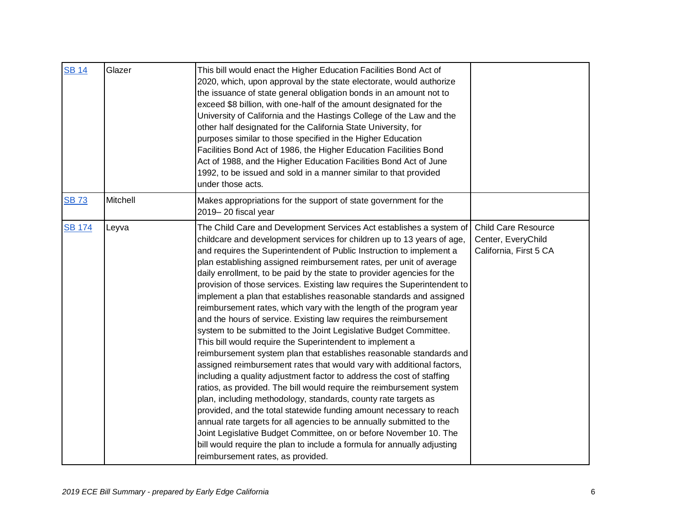| <b>SB 14</b>  | Glazer   | This bill would enact the Higher Education Facilities Bond Act of<br>2020, which, upon approval by the state electorate, would authorize<br>the issuance of state general obligation bonds in an amount not to<br>exceed \$8 billion, with one-half of the amount designated for the<br>University of California and the Hastings College of the Law and the<br>other half designated for the California State University, for<br>purposes similar to those specified in the Higher Education<br>Facilities Bond Act of 1986, the Higher Education Facilities Bond<br>Act of 1988, and the Higher Education Facilities Bond Act of June<br>1992, to be issued and sold in a manner similar to that provided<br>under those acts.                                                                                                                                                                                                                                                                                                                                                                                                                                                                                                                                                                                                                                                                                                                                                                               |                                                                            |
|---------------|----------|----------------------------------------------------------------------------------------------------------------------------------------------------------------------------------------------------------------------------------------------------------------------------------------------------------------------------------------------------------------------------------------------------------------------------------------------------------------------------------------------------------------------------------------------------------------------------------------------------------------------------------------------------------------------------------------------------------------------------------------------------------------------------------------------------------------------------------------------------------------------------------------------------------------------------------------------------------------------------------------------------------------------------------------------------------------------------------------------------------------------------------------------------------------------------------------------------------------------------------------------------------------------------------------------------------------------------------------------------------------------------------------------------------------------------------------------------------------------------------------------------------------|----------------------------------------------------------------------------|
| <b>SB73</b>   | Mitchell | Makes appropriations for the support of state government for the<br>2019-20 fiscal year                                                                                                                                                                                                                                                                                                                                                                                                                                                                                                                                                                                                                                                                                                                                                                                                                                                                                                                                                                                                                                                                                                                                                                                                                                                                                                                                                                                                                        |                                                                            |
| <b>SB 174</b> | Leyva    | The Child Care and Development Services Act establishes a system of<br>childcare and development services for children up to 13 years of age,<br>and requires the Superintendent of Public Instruction to implement a<br>plan establishing assigned reimbursement rates, per unit of average<br>daily enrollment, to be paid by the state to provider agencies for the<br>provision of those services. Existing law requires the Superintendent to<br>implement a plan that establishes reasonable standards and assigned<br>reimbursement rates, which vary with the length of the program year<br>and the hours of service. Existing law requires the reimbursement<br>system to be submitted to the Joint Legislative Budget Committee.<br>This bill would require the Superintendent to implement a<br>reimbursement system plan that establishes reasonable standards and<br>assigned reimbursement rates that would vary with additional factors,<br>including a quality adjustment factor to address the cost of staffing<br>ratios, as provided. The bill would require the reimbursement system<br>plan, including methodology, standards, county rate targets as<br>provided, and the total statewide funding amount necessary to reach<br>annual rate targets for all agencies to be annually submitted to the<br>Joint Legislative Budget Committee, on or before November 10. The<br>bill would require the plan to include a formula for annually adjusting<br>reimbursement rates, as provided. | <b>Child Care Resource</b><br>Center, EveryChild<br>California, First 5 CA |